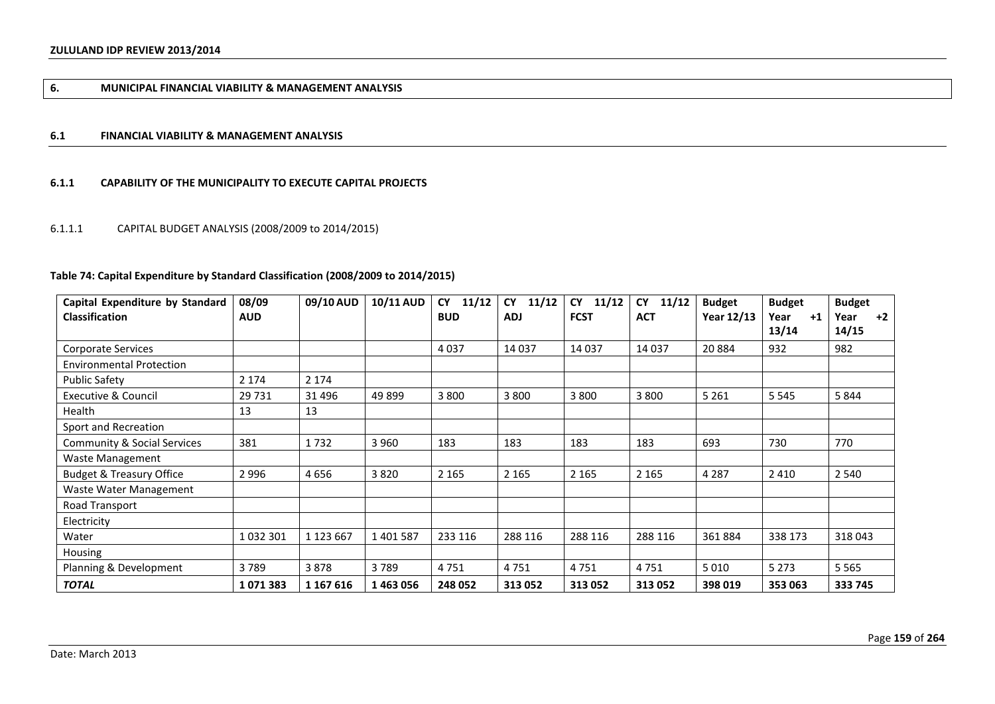# **6. MUNICIPAL FINANCIAL VIABILITY & MANAGEMENT ANALYSIS**

### **6.1 FINANCIAL VIABILITY & MANAGEMENT ANALYSIS**

## **6.1.1 CAPABILITY OF THE MUNICIPALITY TO EXECUTE CAPITAL PROJECTS**

# 6.1.1.1 CAPITAL BUDGET ANALYSIS (2008/2009 to 2014/2015)

# **Table 74: Capital Expenditure by Standard Classification (2008/2009 to 2014/2015)**

| Capital Expenditure by Standard        | 08/09      | 09/10 AUD     | <b>10/11 AUD</b> | 11/12<br><b>CY</b> | <b>CY</b><br>11/12 | <b>CY</b><br>11/12 | <b>CY</b><br>11/12 | <b>Budget</b> | <b>Budget</b> | <b>Budget</b> |
|----------------------------------------|------------|---------------|------------------|--------------------|--------------------|--------------------|--------------------|---------------|---------------|---------------|
| <b>Classification</b>                  | <b>AUD</b> |               |                  | <b>BUD</b>         | <b>ADJ</b>         | <b>FCST</b>        | <b>ACT</b>         | Year 12/13    | Year<br>$+1$  | $+2$<br>Year  |
|                                        |            |               |                  |                    |                    |                    |                    |               | 13/14         | 14/15         |
| <b>Corporate Services</b>              |            |               |                  | 4037               | 14 037             | 14 037             | 14 037             | 20 8 84       | 932           | 982           |
| <b>Environmental Protection</b>        |            |               |                  |                    |                    |                    |                    |               |               |               |
| <b>Public Safety</b>                   | 2 1 7 4    | 2 1 7 4       |                  |                    |                    |                    |                    |               |               |               |
| Executive & Council                    | 29 7 31    | 31 4 96       | 49 899           | 3 8 0 0            | 3 800              | 3 8 0 0            | 3 8 0 0            | 5 2 6 1       | 5 5 4 5       | 5844          |
| Health                                 | 13         | 13            |                  |                    |                    |                    |                    |               |               |               |
| Sport and Recreation                   |            |               |                  |                    |                    |                    |                    |               |               |               |
| <b>Community &amp; Social Services</b> | 381        | 1732          | 3 9 6 0          | 183                | 183                | 183                | 183                | 693           | 730           | 770           |
| Waste Management                       |            |               |                  |                    |                    |                    |                    |               |               |               |
| <b>Budget &amp; Treasury Office</b>    | 2996       | 4656          | 3820             | 2 1 6 5            | 2 1 6 5            | 2 1 6 5            | 2 1 6 5            | 4 2 8 7       | 2410          | 2 5 4 0       |
| Waste Water Management                 |            |               |                  |                    |                    |                    |                    |               |               |               |
| Road Transport                         |            |               |                  |                    |                    |                    |                    |               |               |               |
| Electricity                            |            |               |                  |                    |                    |                    |                    |               |               |               |
| Water                                  | 1032301    | 1 1 2 3 6 6 7 | 1401587          | 233 116            | 288 116            | 288 116            | 288 116            | 361884        | 338 173       | 318043        |
| Housing                                |            |               |                  |                    |                    |                    |                    |               |               |               |
| Planning & Development                 | 3789       | 3878          | 3789             | 4751               | 4751               | 4751               | 4751               | 5010          | 5 2 7 3       | 5 5 6 5       |
| <b>TOTAL</b>                           | 1071383    | 1 167 616     | 1463056          | 248 052            | 313 052            | 313 052            | 313 052            | 398 019       | 353 063       | 333 745       |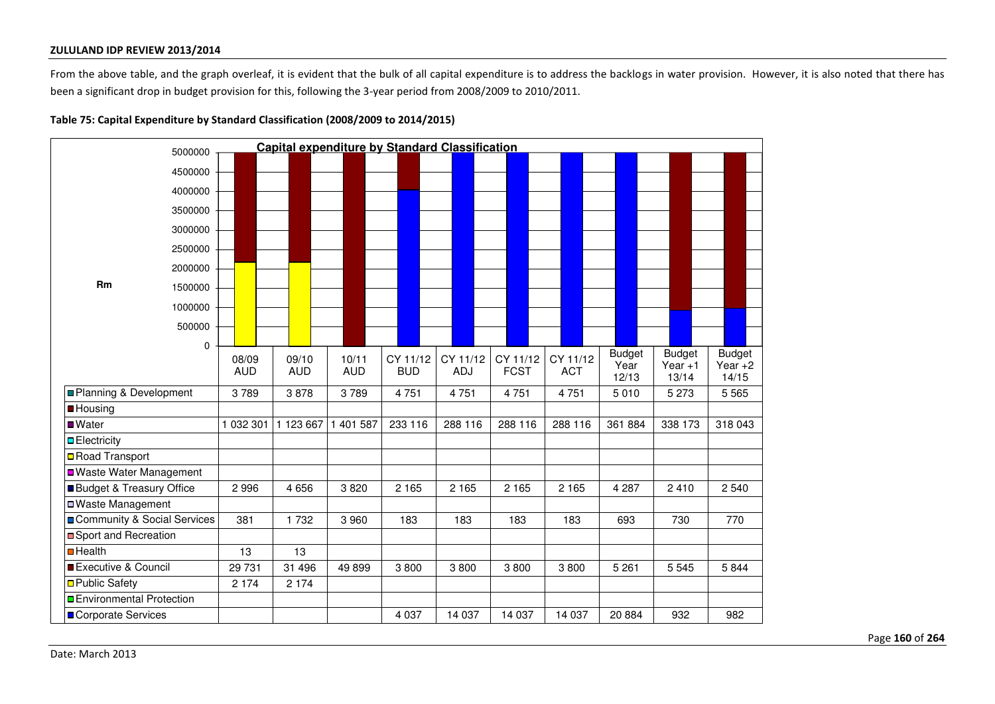From the above table, and the graph overleaf, it is evident that the bulk of all capital expenditure is to address the backlogs in water provision. However, it is also noted that there has been a significant drop in budget provision for this, following the 3-year period from 2008/2009 to 2010/2011.

|                             | 5000000 |            |            | Capital expenditure by Standard Classification |            |            |             |            |               |                    |                    |
|-----------------------------|---------|------------|------------|------------------------------------------------|------------|------------|-------------|------------|---------------|--------------------|--------------------|
|                             | 4500000 |            |            |                                                |            |            |             |            |               |                    |                    |
|                             | 4000000 |            |            |                                                |            |            |             |            |               |                    |                    |
|                             | 3500000 |            |            |                                                |            |            |             |            |               |                    |                    |
|                             | 3000000 |            |            |                                                |            |            |             |            |               |                    |                    |
|                             |         |            |            |                                                |            |            |             |            |               |                    |                    |
|                             | 2500000 |            |            |                                                |            |            |             |            |               |                    |                    |
|                             | 2000000 |            |            |                                                |            |            |             |            |               |                    |                    |
| <b>Rm</b>                   | 1500000 |            |            |                                                |            |            |             |            |               |                    |                    |
|                             | 1000000 |            |            |                                                |            |            |             |            |               |                    |                    |
|                             | 500000  |            |            |                                                |            |            |             |            |               |                    |                    |
|                             | 0       |            |            |                                                |            |            |             |            |               |                    |                    |
|                             |         | 08/09      | 09/10      | 10/11                                          | CY 11/12   | CY 11/12   | CY 11/12    | CY 11/12   | <b>Budget</b> | <b>Budget</b>      | <b>Budget</b>      |
|                             |         | <b>AUD</b> | <b>AUD</b> | <b>AUD</b>                                     | <b>BUD</b> | <b>ADJ</b> | <b>FCST</b> | <b>ACT</b> | Year<br>12/13 | Year $+1$<br>13/14 | Year $+2$<br>14/15 |
| Planning & Development      |         | 3789       | 3878       | 3789                                           | 4751       | 4751       | 4751        | 4751       | 5 0 1 0       | 5 2 7 3            | 5 5 6 5            |
| <b>B</b> Housing            |         |            |            |                                                |            |            |             |            |               |                    |                    |
| ■Water                      |         | 1 032 301  | 1 123 667  | 1 401 587                                      | 233 116    | 288 116    | 288 116     | 288 116    | 361 884       | 338 173            | 318 043            |
| $\blacksquare$ Electricity  |         |            |            |                                                |            |            |             |            |               |                    |                    |
| □ Road Transport            |         |            |            |                                                |            |            |             |            |               |                    |                    |
| ■ Waste Water Management    |         |            |            |                                                |            |            |             |            |               |                    |                    |
| Budget & Treasury Office    |         | 2 9 9 6    | 4 6 5 6    | 3820                                           | 2 1 6 5    | 2 1 6 5    | 2 1 6 5     | 2 1 6 5    | 4 2 8 7       | 2410               | 2 5 4 0            |
| □ Waste Management          |         |            |            |                                                |            |            |             |            |               |                    |                    |
| Community & Social Services |         | 381        | 1 7 3 2    | 3 9 6 0                                        | 183        | 183        | 183         | 183        | 693           | 730                | 770                |
| Sport and Recreation        |         |            |            |                                                |            |            |             |            |               |                    |                    |
| $\blacksquare$ Health       |         | 13         | 13         |                                                |            |            |             |            |               |                    |                    |
| Executive & Council         |         | 29 7 31    | 31 496     | 49899                                          | 3800       | 3800       | 3800        | 3800       | 5 2 6 1       | 5 5 4 5            | 5844               |
| □ Public Safety             |         | 2 1 7 4    | 2 1 7 4    |                                                |            |            |             |            |               |                    |                    |
| □ Environmental Protection  |         |            |            |                                                |            |            |             |            |               |                    |                    |
| Corporate Services          |         |            |            |                                                | 4 0 3 7    | 14 037     | 14 037      | 14 037     | 20884         | 932                | 982                |

**Table 75: Capital Expenditure by Standard Classification (2008/2009 to 2014/2015)**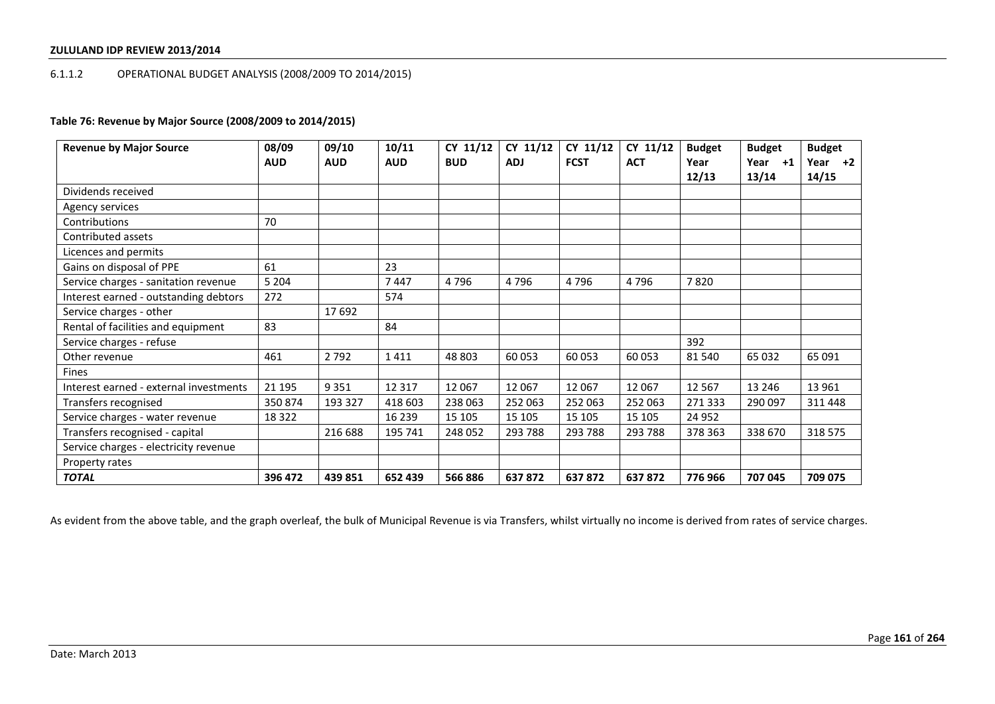# 6.1.1.2 OPERATIONAL BUDGET ANALYSIS (2008/2009 TO 2014/2015)

# **Table 76: Revenue by Major Source (2008/2009 to 2014/2015)**

| <b>Revenue by Major Source</b>         | 08/09      | 09/10      | 10/11      | CY 11/12   | CY 11/12   | CY 11/12    | CY 11/12   | <b>Budget</b> | <b>Budget</b> | <b>Budget</b> |
|----------------------------------------|------------|------------|------------|------------|------------|-------------|------------|---------------|---------------|---------------|
|                                        | <b>AUD</b> | <b>AUD</b> | <b>AUD</b> | <b>BUD</b> | <b>ADJ</b> | <b>FCST</b> | <b>ACT</b> | Year          | Year +1       | Year $+2$     |
|                                        |            |            |            |            |            |             |            | 12/13         | 13/14         | 14/15         |
| Dividends received                     |            |            |            |            |            |             |            |               |               |               |
| Agency services                        |            |            |            |            |            |             |            |               |               |               |
| Contributions                          | 70         |            |            |            |            |             |            |               |               |               |
| Contributed assets                     |            |            |            |            |            |             |            |               |               |               |
| Licences and permits                   |            |            |            |            |            |             |            |               |               |               |
| Gains on disposal of PPE               | 61         |            | 23         |            |            |             |            |               |               |               |
| Service charges - sanitation revenue   | 5 2 0 4    |            | 7447       | 4796       | 4796       | 4796        | 4796       | 7820          |               |               |
| Interest earned - outstanding debtors  | 272        |            | 574        |            |            |             |            |               |               |               |
| Service charges - other                |            | 17 692     |            |            |            |             |            |               |               |               |
| Rental of facilities and equipment     | 83         |            | 84         |            |            |             |            |               |               |               |
| Service charges - refuse               |            |            |            |            |            |             |            | 392           |               |               |
| Other revenue                          | 461        | 2 7 9 2    | 1411       | 48 803     | 60 053     | 60 053      | 60 053     | 81 540        | 65 032        | 65 091        |
| Fines                                  |            |            |            |            |            |             |            |               |               |               |
| Interest earned - external investments | 21 195     | 9 3 5 1    | 12 3 17    | 12 0 67    | 12 067     | 12 067      | 12 067     | 12 5 67       | 13 246        | 13 961        |
| Transfers recognised                   | 350 874    | 193 327    | 418 603    | 238 063    | 252 063    | 252 063     | 252 063    | 271 333       | 290 097       | 311448        |
| Service charges - water revenue        | 18 3 22    |            | 16 239     | 15 105     | 15 105     | 15 105      | 15 105     | 24 9 52       |               |               |
| Transfers recognised - capital         |            | 216 688    | 195 741    | 248 052    | 293 788    | 293 788     | 293 788    | 378 363       | 338 670       | 318 575       |
| Service charges - electricity revenue  |            |            |            |            |            |             |            |               |               |               |
| Property rates                         |            |            |            |            |            |             |            |               |               |               |
| <b>TOTAL</b>                           | 396 472    | 439 851    | 652 439    | 566886     | 637872     | 637872      | 637 872    | 776966        | 707 045       | 709 075       |

As evident from the above table, and the graph overleaf, the bulk of Municipal Revenue is via Transfers, whilst virtually no income is derived from rates of service charges.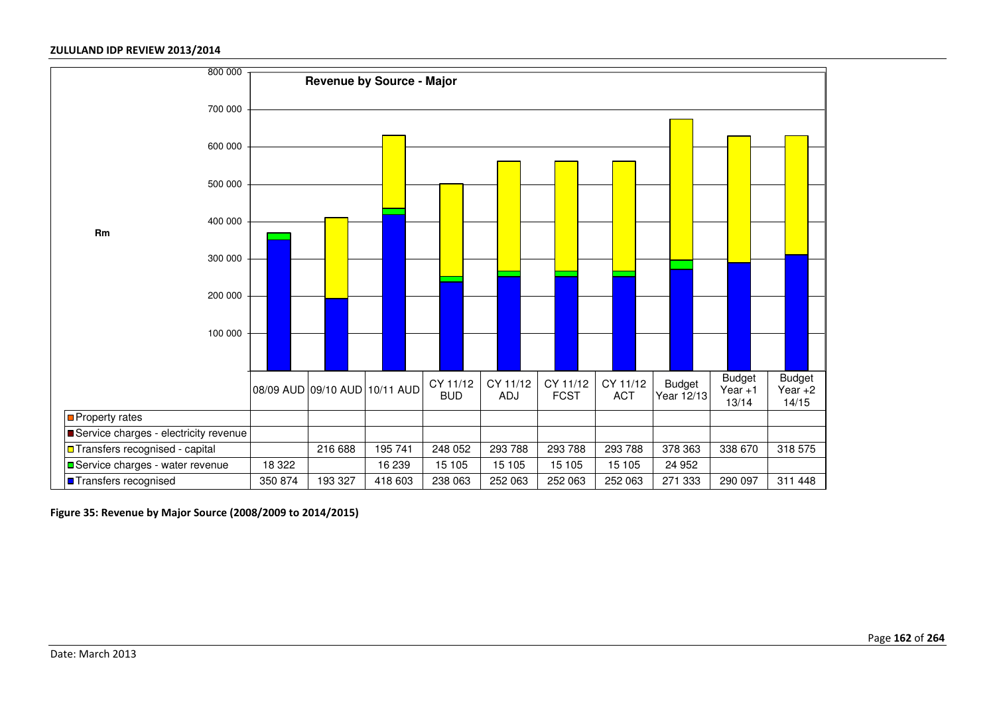

**Figure 35: Revenue by Major Source (2008/2009 to 2014/2015)**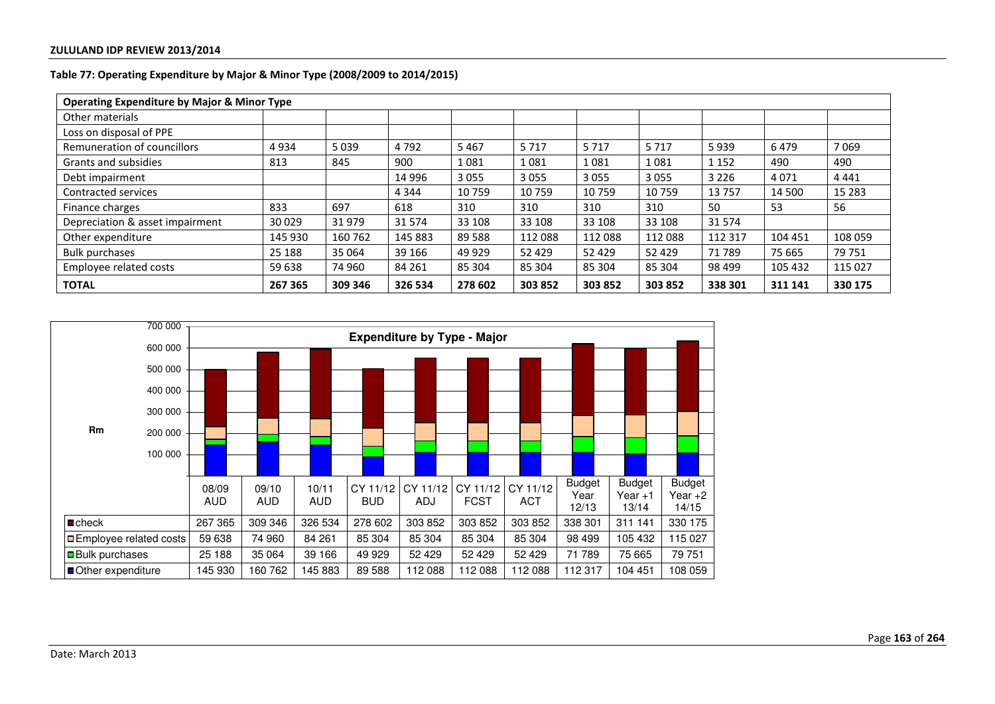| <b>Operating Expenditure by Major &amp; Minor Type</b> |         |         |         |         |         |         |         |         |         |         |
|--------------------------------------------------------|---------|---------|---------|---------|---------|---------|---------|---------|---------|---------|
| Other materials                                        |         |         |         |         |         |         |         |         |         |         |
| Loss on disposal of PPE                                |         |         |         |         |         |         |         |         |         |         |
| Remuneration of councillors                            | 4934    | 5039    | 4792    | 5 4 6 7 | 5717    | 5717    | 5717    | 5939    | 6479    | 7069    |
| Grants and subsidies                                   | 813     | 845     | 900     | 1081    | 1081    | 1081    | 1081    | 1 1 5 2 | 490     | 490     |
| Debt impairment                                        |         |         | 14 996  | 3 0 5 5 | 3055    | 3055    | 3055    | 3 2 2 6 | 4071    | 4 4 4 1 |
| Contracted services                                    |         |         | 4 3 4 4 | 10759   | 10 759  | 10759   | 10759   | 13757   | 14 500  | 15 2 83 |
| Finance charges                                        | 833     | 697     | 618     | 310     | 310     | 310     | 310     | 50      | 53      | 56      |
| Depreciation & asset impairment                        | 30029   | 31979   | 31 574  | 33 108  | 33 108  | 33 108  | 33 108  | 31574   |         |         |
| Other expenditure                                      | 145 930 | 160 762 | 145 883 | 89 5 88 | 112 088 | 112 088 | 112088  | 112 317 | 104 451 | 108 059 |
| <b>Bulk purchases</b>                                  | 25 188  | 35 064  | 39 166  | 49 9 29 | 52 4 29 | 52 4 29 | 52 429  | 71 789  | 75 665  | 79 751  |
| Employee related costs                                 | 59 638  | 74 960  | 84 261  | 85 304  | 85 304  | 85 304  | 85 304  | 98 499  | 105 432 | 115 027 |
| <b>TOTAL</b>                                           | 267 365 | 309 346 | 326 534 | 278 602 | 303 852 | 303 852 | 303 852 | 338 301 | 311 141 | 330 175 |

# **Table 77: Operating Expenditure by Major & Minor Type (2008/2009 to 2014/2015)**

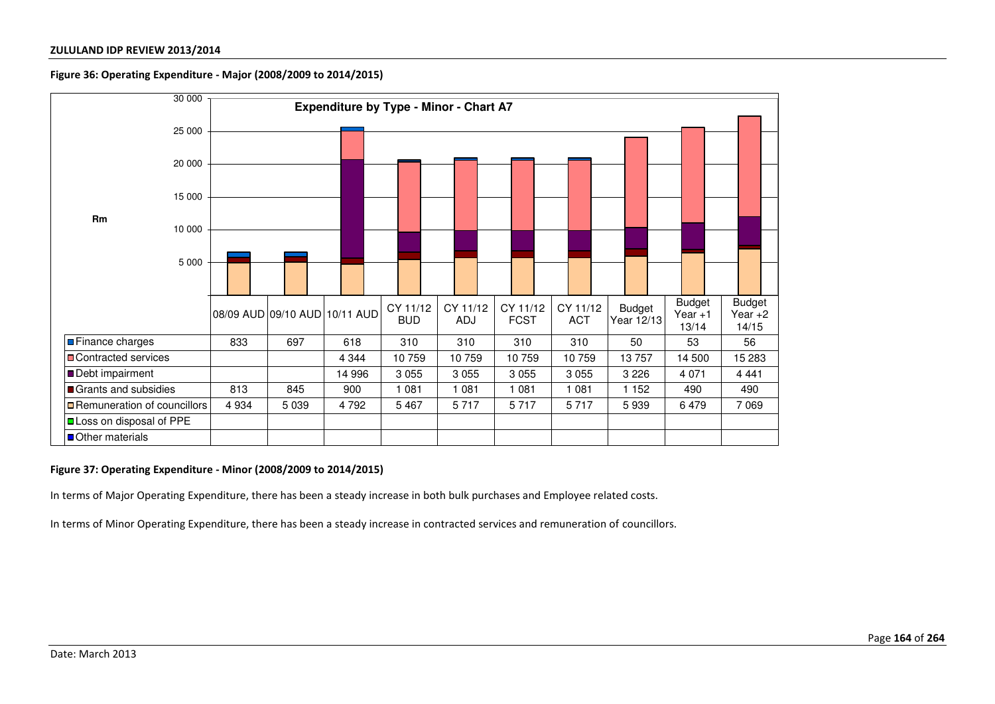### **Figure 36: Operating Expenditure - Major (2008/2009 to 2014/2015)**



### **Figure 37: Operating Expenditure - Minor (2008/2009 to 2014/2015)**

In terms of Major Operating Expenditure, there has been a steady increase in both bulk purchases and Employee related costs.

In terms of Minor Operating Expenditure, there has been a steady increase in contracted services and remuneration of councillors.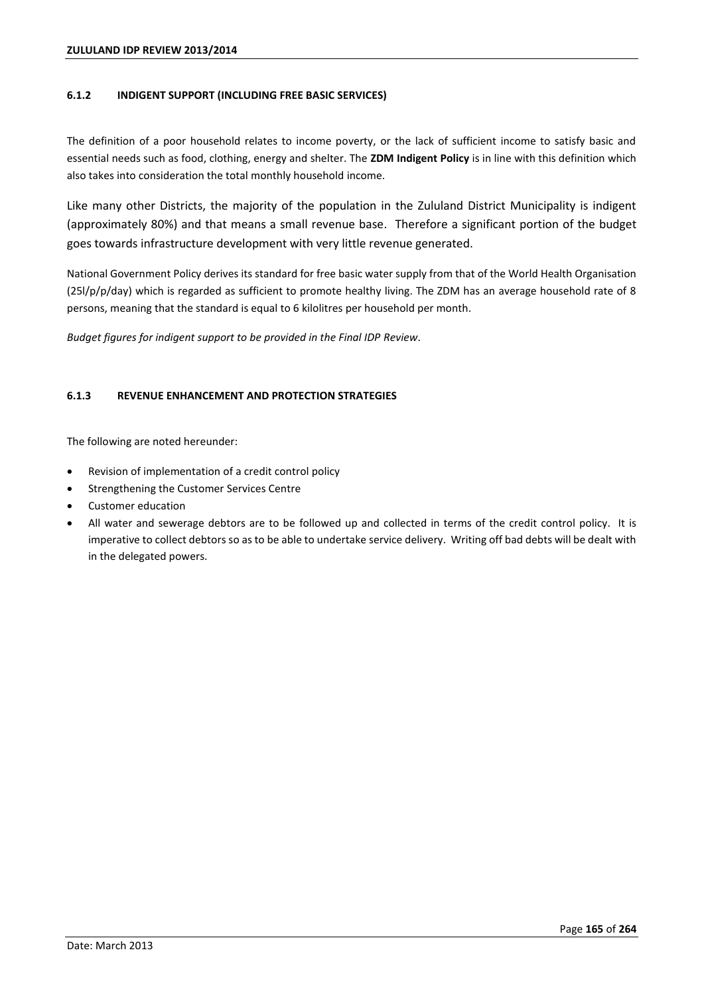## **6.1.2 INDIGENT SUPPORT (INCLUDING FREE BASIC SERVICES)**

The definition of a poor household relates to income poverty, or the lack of sufficient income to satisfy basic and essential needs such as food, clothing, energy and shelter. The **ZDM Indigent Policy** is in line with this definition which also takes into consideration the total monthly household income.

Like many other Districts, the majority of the population in the Zululand District Municipality is indigent (approximately 80%) and that means a small revenue base. Therefore a significant portion of the budget goes towards infrastructure development with very little revenue generated.

National Government Policy derives its standard for free basic water supply from that of the World Health Organisation (25l/p/p/day) which is regarded as sufficient to promote healthy living. The ZDM has an average household rate of 8 persons, meaning that the standard is equal to 6 kilolitres per household per month.

*Budget figures for indigent support to be provided in the Final IDP Review*.

# **6.1.3 REVENUE ENHANCEMENT AND PROTECTION STRATEGIES**

The following are noted hereunder:

- Revision of implementation of a credit control policy
- Strengthening the Customer Services Centre
- Customer education
- All water and sewerage debtors are to be followed up and collected in terms of the credit control policy. It is imperative to collect debtors so as to be able to undertake service delivery. Writing off bad debts will be dealt with in the delegated powers.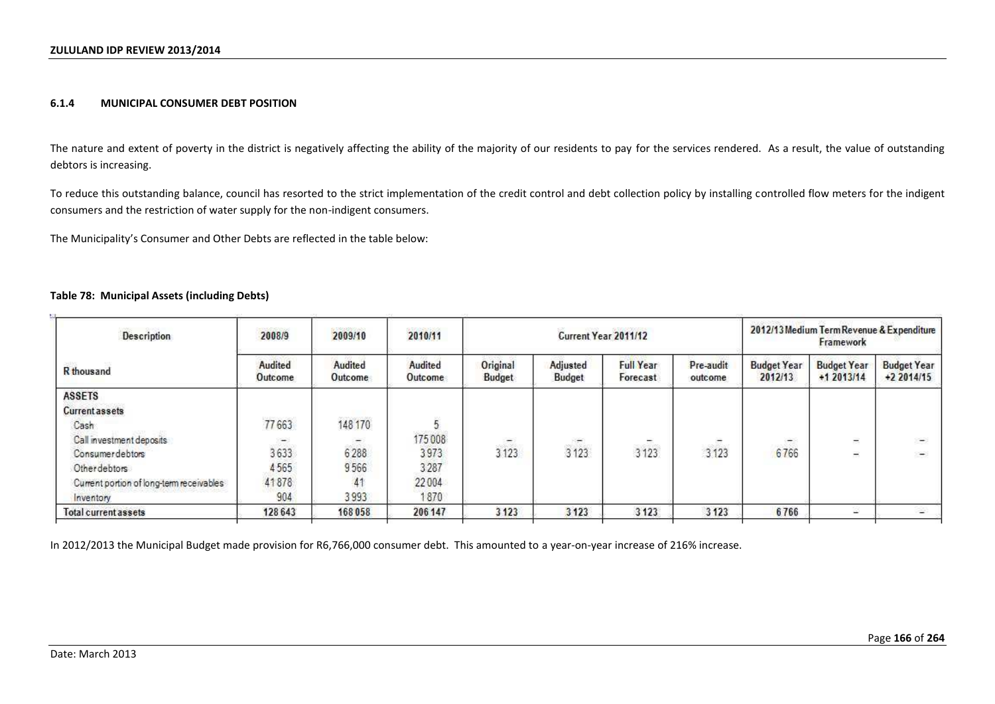### **6.1.4 MUNICIPAL CONSUMER DEBT POSITION**

The nature and extent of poverty in the district is negatively affecting the ability of the majority of our residents to pay for the services rendered. As a result, the value of outstanding debtors is increasing.

To reduce this outstanding balance, council has resorted to the strict implementation of the credit control and debt collection policy by installing controlled flow meters for the indigent consumers and the restriction of water supply for the non-indigent consumers.

The Municipality's Consumer and Other Debts are reflected in the table below:

### **Table 78: Municipal Assets (including Debts)**

| Description                              | 2008/9             | 5000000033000<br>2010/11<br>2009/10 |                       |                    |                    | Current Year 2011/12         |                          | 2012/13 Medium Term Revenue & Expenditure<br>Framework |                                   |                                   |
|------------------------------------------|--------------------|-------------------------------------|-----------------------|--------------------|--------------------|------------------------------|--------------------------|--------------------------------------------------------|-----------------------------------|-----------------------------------|
| R thousand                               | Audited<br>Outcome | Audited<br>Outcome                  | Audited<br>Outcome    | Original<br>Budget | Adjusted<br>Budget | <b>Full Year</b><br>Forecast | Pre-audit<br>outcome     | <b>Budget Year</b><br>2012/13                          | <b>Budget Year</b><br>$+12013/14$ | <b>Budget Year</b><br>$+22014/15$ |
| <b>ASSETS</b>                            |                    |                                     |                       |                    |                    |                              |                          |                                                        |                                   |                                   |
| <b>Current assets</b>                    |                    |                                     |                       |                    |                    |                              |                          |                                                        |                                   |                                   |
| Cash                                     | 77663              | 148 170                             |                       |                    |                    |                              |                          |                                                        |                                   |                                   |
| Call investment deposits                 | $\sim$             | $\equiv$                            | accomplishe<br>175008 | $-$                | $\frac{1}{2}$      | $\overline{\phantom{0}}$     | $\overline{\phantom{a}}$ | -                                                      | $\equiv$                          | $\rightarrow$                     |
| Consumer debtors                         | 3633               | 6288                                | 3973                  | 3 1 2 3            | 3123               | 3123                         | 3 1 2 3                  | 6766                                                   | Ξ                                 | $\frac{1}{2}$                     |
| Otherdebtors                             | 4565               | 9566                                | 3287                  |                    |                    |                              |                          |                                                        |                                   |                                   |
| Current portion of long-term receivables | 41878              | 41                                  | 22004                 |                    |                    |                              |                          |                                                        |                                   |                                   |
| <b>Inventory</b>                         | 904                | 3993                                | 1870                  |                    |                    |                              |                          |                                                        |                                   |                                   |
| <b>Total current assets</b>              | 128 643            | 168 058                             | 206 147               | 3 1 2 3            | 3123               | 3123                         | 3 1 2 3                  | 6766                                                   | w.                                | 2                                 |

In 2012/2013 the Municipal Budget made provision for R6,766,000 consumer debt. This amounted to a year-on-year increase of 216% increase.

k.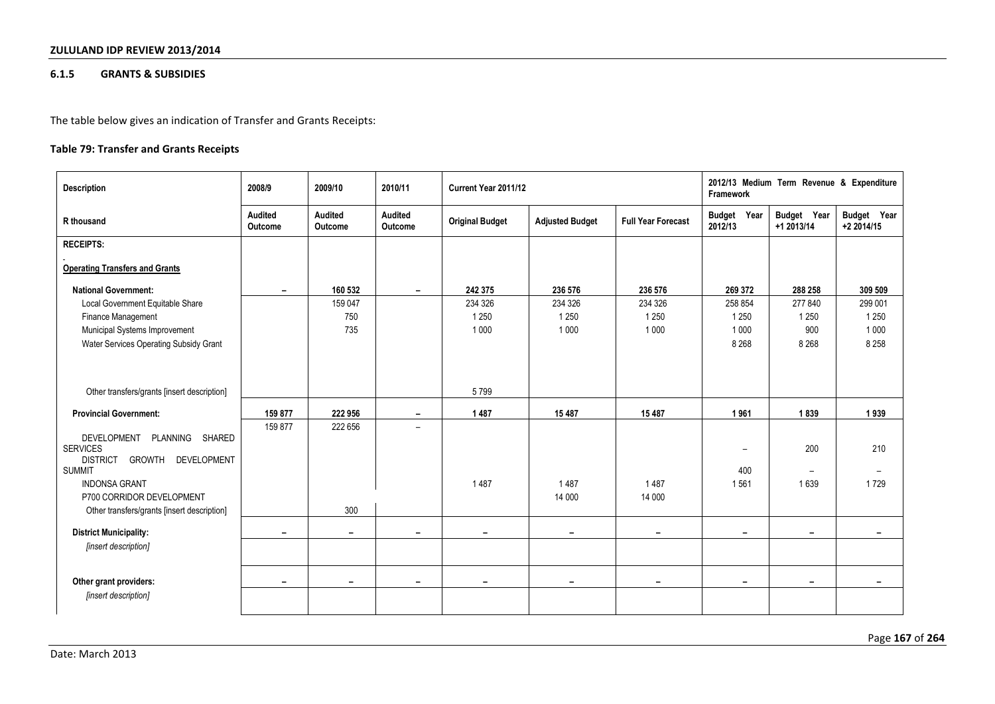## **6.1.5 GRANTS & SUBSIDIES**

The table below gives an indication of Transfer and Grants Receipts:

# **Table 79: Transfer and Grants Receipts**

| <b>Description</b>                                          | 2008/9                    | 2009/10                  | 2010/11                   | Current Year 2011/12     |                        |                           | Framework                | 2012/13 Medium Term Revenue & Expenditure |                           |
|-------------------------------------------------------------|---------------------------|--------------------------|---------------------------|--------------------------|------------------------|---------------------------|--------------------------|-------------------------------------------|---------------------------|
| R thousand                                                  | <b>Audited</b><br>Outcome | Audited<br>Outcome       | <b>Audited</b><br>Outcome | <b>Original Budget</b>   | <b>Adjusted Budget</b> | <b>Full Year Forecast</b> | Budget Year<br>2012/13   | Budget Year<br>$+1$ 2013/14               | Budget Year<br>+2 2014/15 |
| <b>RECEIPTS:</b>                                            |                           |                          |                           |                          |                        |                           |                          |                                           |                           |
| <b>Operating Transfers and Grants</b>                       |                           |                          |                           |                          |                        |                           |                          |                                           |                           |
| <b>National Government:</b>                                 | $\overline{\phantom{0}}$  | 160 532                  | $\overline{\phantom{0}}$  | 242 375                  | 236 576                | 236 576                   | 269 372                  | 288 258                                   | 309 509                   |
| Local Government Equitable Share                            |                           | 159 047                  |                           | 234 326                  | 234 326                | 234 326                   | 258 854                  | 277 840                                   | 299 001                   |
| Finance Management                                          |                           | 750                      |                           | 1 2 5 0                  | 1 2 5 0                | 1 2 5 0                   | 1 2 5 0                  | 1 2 5 0                                   | 1 2 5 0                   |
| Municipal Systems Improvement                               |                           | 735                      |                           | 1 0 0 0                  | 1 0 0 0                | 1 0 0 0                   | 1 0 0 0                  | 900                                       | 1 0 0 0                   |
| Water Services Operating Subsidy Grant                      |                           |                          |                           |                          |                        |                           | 8 2 6 8                  | 8 2 6 8                                   | 8 2 5 8                   |
|                                                             |                           |                          |                           |                          |                        |                           |                          |                                           |                           |
| Other transfers/grants [insert description]                 |                           |                          |                           | 5799                     |                        |                           |                          |                                           |                           |
| <b>Provincial Government:</b>                               | 159 877                   | 222 956                  | ۰.                        | 1487                     | 15 4 8 7               | 15 487                    | 1961                     | 1839                                      | 1939                      |
|                                                             | 159 877                   | 222 656                  | $\overline{\phantom{0}}$  |                          |                        |                           |                          |                                           |                           |
| PLANNING<br>DEVELOPMENT<br><b>SHARED</b><br><b>SERVICES</b> |                           |                          |                           |                          |                        |                           | $\overline{\phantom{a}}$ | 200                                       | 210                       |
| <b>DISTRICT</b><br><b>GROWTH</b><br><b>DEVELOPMENT</b>      |                           |                          |                           |                          |                        |                           |                          |                                           |                           |
| <b>SUMMIT</b>                                               |                           |                          |                           |                          |                        |                           | 400                      | $\overline{\phantom{0}}$                  | $\overline{\phantom{0}}$  |
| <b>INDONSA GRANT</b>                                        |                           |                          |                           | 1487                     | 1487                   | 1487                      | 1561                     | 1639                                      | 1729                      |
| P700 CORRIDOR DEVELOPMENT                                   |                           |                          |                           |                          | 14 000                 | 14 000                    |                          |                                           |                           |
| Other transfers/grants [insert description]                 |                           | 300                      |                           |                          |                        |                           |                          |                                           |                           |
| <b>District Municipality:</b>                               | -                         | -                        | -                         | -                        | Ξ.                     | -                         | -                        | -                                         | -                         |
| [insert description]                                        |                           |                          |                           |                          |                        |                           |                          |                                           |                           |
|                                                             |                           |                          |                           |                          |                        |                           |                          |                                           |                           |
| Other grant providers:                                      | ۰                         | $\overline{\phantom{0}}$ | $\overline{\phantom{0}}$  | $\overline{\phantom{0}}$ | -                      | $\overline{\phantom{0}}$  | $\blacksquare$           | $\overline{\phantom{0}}$                  | $\overline{\phantom{0}}$  |
| [insert description]                                        |                           |                          |                           |                          |                        |                           |                          |                                           |                           |
|                                                             |                           |                          |                           |                          |                        |                           |                          |                                           |                           |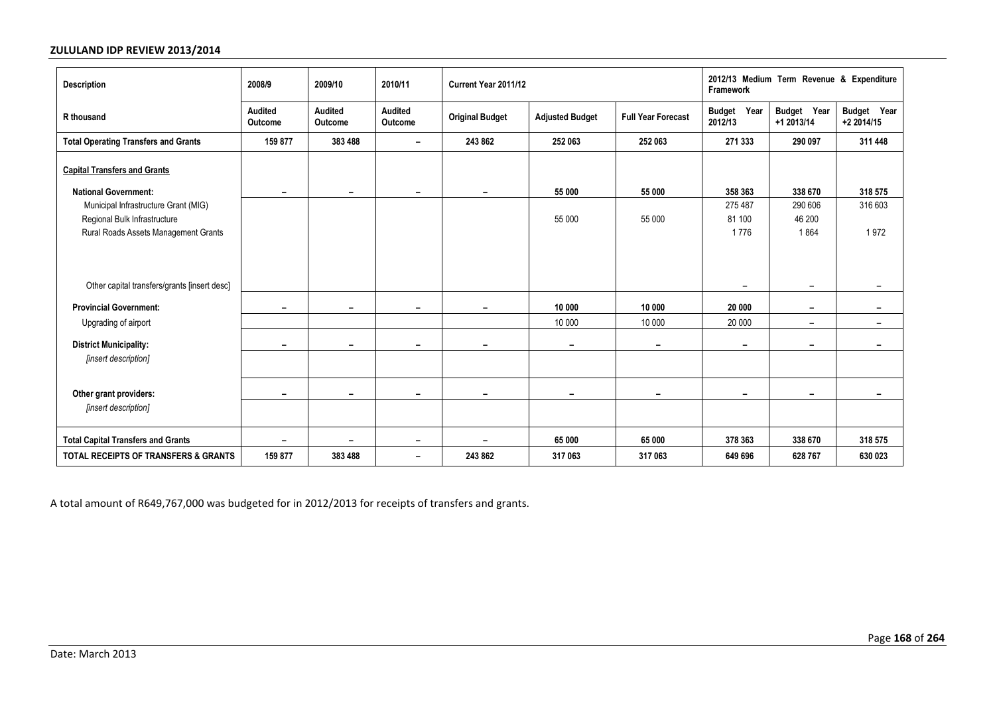| Description                                                                                                  | 2008/9                   | 2009/10                   | 2010/11                  | Current Year 2011/12   |                          |                           | 2012/13 Medium Term Revenue & Expenditure<br>Framework |                           |                           |
|--------------------------------------------------------------------------------------------------------------|--------------------------|---------------------------|--------------------------|------------------------|--------------------------|---------------------------|--------------------------------------------------------|---------------------------|---------------------------|
| R thousand                                                                                                   | Audited<br>Outcome       | <b>Audited</b><br>Outcome | Audited<br>Outcome       | <b>Original Budget</b> | <b>Adjusted Budget</b>   | <b>Full Year Forecast</b> | Year<br><b>Budget</b><br>2012/13                       | Budget Year<br>+1 2013/14 | Budget Year<br>+2 2014/15 |
| <b>Total Operating Transfers and Grants</b>                                                                  | 159 877                  | 383 488                   | $\overline{\phantom{a}}$ | 243 862                | 252 063                  | 252 063                   | 271 333                                                | 290 097                   | 311 448                   |
| <b>Capital Transfers and Grants</b><br><b>National Government:</b>                                           | $\overline{\phantom{a}}$ | Ξ.                        | $\overline{\phantom{a}}$ | -                      | 55 000                   | 55 000                    | 358 363                                                | 338 670                   | 318 575                   |
| Municipal Infrastructure Grant (MIG)<br>Regional Bulk Infrastructure<br>Rural Roads Assets Management Grants |                          |                           |                          |                        | 55 000                   | 55 000                    | 275 487<br>81 100<br>1776                              | 290 606<br>46 200<br>1864 | 316 603<br>1972           |
| Other capital transfers/grants [insert desc]                                                                 |                          |                           |                          |                        |                          |                           | $\overline{\phantom{0}}$                               | $\overline{\phantom{a}}$  | $\overline{\phantom{0}}$  |
| <b>Provincial Government:</b>                                                                                | $\overline{\phantom{0}}$ | Ξ.                        |                          |                        | 10 000                   | 10 000                    | 20 000                                                 | $\overline{\phantom{a}}$  | -                         |
| Upgrading of airport                                                                                         |                          |                           |                          |                        | 10 000                   | 10 000                    | 20 000                                                 | $\overline{\phantom{a}}$  | $\overline{\phantom{a}}$  |
| <b>District Municipality:</b><br>[insert description]                                                        | $\overline{\phantom{0}}$ | -                         |                          |                        | $\overline{\phantom{0}}$ | $\overline{\phantom{0}}$  |                                                        |                           | -                         |
|                                                                                                              |                          |                           |                          |                        |                          |                           |                                                        |                           |                           |
| Other grant providers:                                                                                       | $\overline{\phantom{0}}$ | -                         | -                        |                        |                          | $\overline{\phantom{0}}$  | -                                                      | $\overline{\phantom{a}}$  | -                         |
| [insert description]                                                                                         |                          |                           |                          |                        |                          |                           |                                                        |                           |                           |
| <b>Total Capital Transfers and Grants</b>                                                                    | $\overline{\phantom{0}}$ | Ξ.                        | $\overline{\phantom{0}}$ |                        | 65 000                   | 65 000                    | 378 363                                                | 338 670                   | 318 575                   |
| <b>TOTAL RECEIPTS OF TRANSFERS &amp; GRANTS</b>                                                              | 159 877                  | 383 488                   | $\overline{\phantom{a}}$ | 243 862                | 317 063                  | 317 063                   | 649 696                                                | 628 767                   | 630 023                   |

A total amount of R649,767,000 was budgeted for in 2012/2013 for receipts of transfers and grants.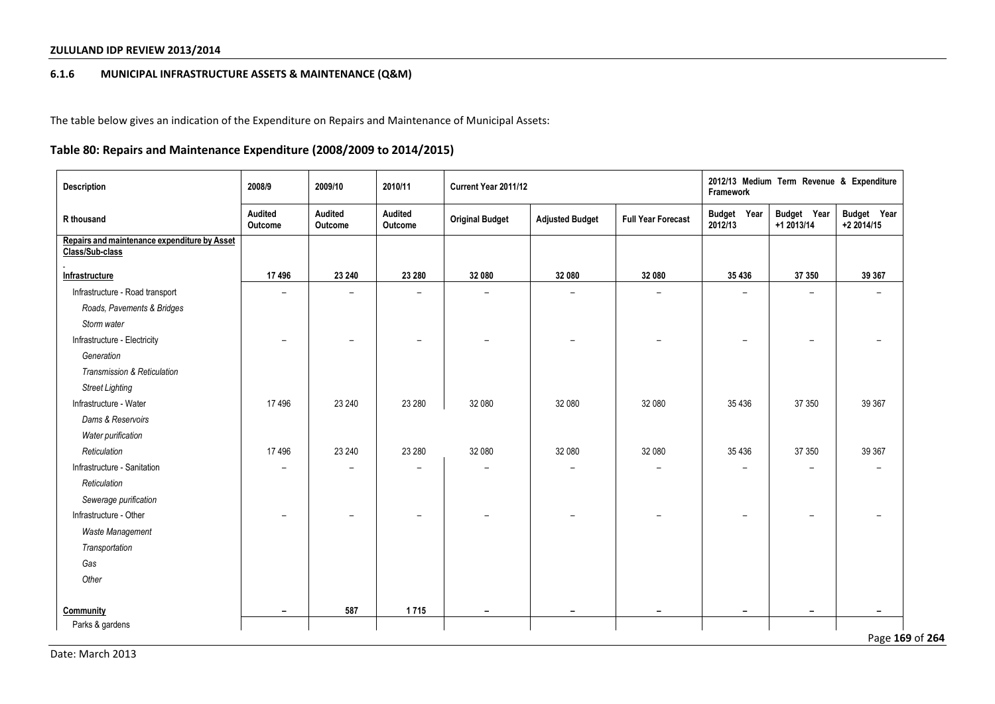# **6.1.6 MUNICIPAL INFRASTRUCTURE ASSETS & MAINTENANCE (Q&M)**

The table below gives an indication of the Expenditure on Repairs and Maintenance of Municipal Assets:

# **Table 80: Repairs and Maintenance Expenditure (2008/2009 to 2014/2015)**

| Description                                                     | 2008/9                   | 2009/10                  | 2010/11                  | Current Year 2011/12     |                          |                           | 2012/13 Medium Term Revenue & Expenditure<br>Framework |                           |                           |  |  |
|-----------------------------------------------------------------|--------------------------|--------------------------|--------------------------|--------------------------|--------------------------|---------------------------|--------------------------------------------------------|---------------------------|---------------------------|--|--|
| R thousand                                                      | Audited<br>Outcome       | Audited<br>Outcome       | Audited<br>Outcome       | <b>Original Budget</b>   | <b>Adjusted Budget</b>   | <b>Full Year Forecast</b> | Budget Year<br>2012/13                                 | Budget Year<br>+1 2013/14 | Budget Year<br>+2 2014/15 |  |  |
| Repairs and maintenance expenditure by Asset<br>Class/Sub-class |                          |                          |                          |                          |                          |                           |                                                        |                           |                           |  |  |
| Infrastructure                                                  | 17496                    | 23 240                   | 23 280                   | 32 080                   | 32 080                   | 32 080                    | 35 436                                                 | 37 350                    | 39 367                    |  |  |
| Infrastructure - Road transport                                 | $\overline{\phantom{0}}$ | $\overline{\phantom{0}}$ | $\overline{\phantom{0}}$ | $\overline{\phantom{a}}$ | $\overline{\phantom{0}}$ | $\overline{\phantom{0}}$  |                                                        | $\overline{\phantom{0}}$  | $\qquad \qquad -$         |  |  |
| Roads, Pavements & Bridges                                      |                          |                          |                          |                          |                          |                           |                                                        |                           |                           |  |  |
| Storm water                                                     |                          |                          |                          |                          |                          |                           |                                                        |                           |                           |  |  |
| Infrastructure - Electricity                                    | $\overline{\phantom{0}}$ | $\overline{\phantom{a}}$ | $\overline{\phantom{0}}$ |                          |                          |                           | $\overline{\phantom{0}}$                               | $\overline{\phantom{0}}$  | $\overline{\phantom{0}}$  |  |  |
| Generation                                                      |                          |                          |                          |                          |                          |                           |                                                        |                           |                           |  |  |
| Transmission & Reticulation                                     |                          |                          |                          |                          |                          |                           |                                                        |                           |                           |  |  |
| <b>Street Lighting</b>                                          |                          |                          |                          |                          |                          |                           |                                                        |                           |                           |  |  |
| Infrastructure - Water                                          | 17496                    | 23 240                   | 23 280                   | 32 080                   | 32 080                   | 32 080                    | 35 4 36                                                | 37 350                    | 39 367                    |  |  |
| Dams & Reservoirs                                               |                          |                          |                          |                          |                          |                           |                                                        |                           |                           |  |  |
| Water purification                                              |                          |                          |                          |                          |                          |                           |                                                        |                           |                           |  |  |
| Reticulation                                                    | 17496                    | 23 240                   | 23 280                   | 32 080                   | 32 080                   | 32 080                    | 35 4 36                                                | 37 350                    | 39 367                    |  |  |
| Infrastructure - Sanitation                                     |                          |                          |                          |                          |                          |                           |                                                        |                           | $\overline{\phantom{0}}$  |  |  |
| Reticulation                                                    |                          |                          |                          |                          |                          |                           |                                                        |                           |                           |  |  |
| Sewerage purification                                           |                          |                          |                          |                          |                          |                           |                                                        |                           |                           |  |  |
| Infrastructure - Other                                          | $\overline{\phantom{0}}$ | $\overline{\phantom{0}}$ | $\overline{\phantom{0}}$ |                          |                          | $\overline{\phantom{0}}$  |                                                        | $\qquad \qquad -$         | $\qquad \qquad -$         |  |  |
| Waste Management                                                |                          |                          |                          |                          |                          |                           |                                                        |                           |                           |  |  |
| Transportation                                                  |                          |                          |                          |                          |                          |                           |                                                        |                           |                           |  |  |
| Gas                                                             |                          |                          |                          |                          |                          |                           |                                                        |                           |                           |  |  |
| Other                                                           |                          |                          |                          |                          |                          |                           |                                                        |                           |                           |  |  |
| Community                                                       | $\overline{\phantom{a}}$ | 587                      | 1715                     | $\overline{\phantom{a}}$ | $\overline{\phantom{a}}$ | $\overline{\phantom{0}}$  | $\overline{\phantom{a}}$                               | $\overline{\phantom{0}}$  | $\overline{\phantom{a}}$  |  |  |
| Parks & gardens                                                 |                          |                          |                          |                          |                          |                           |                                                        |                           | Page 169 of 264           |  |  |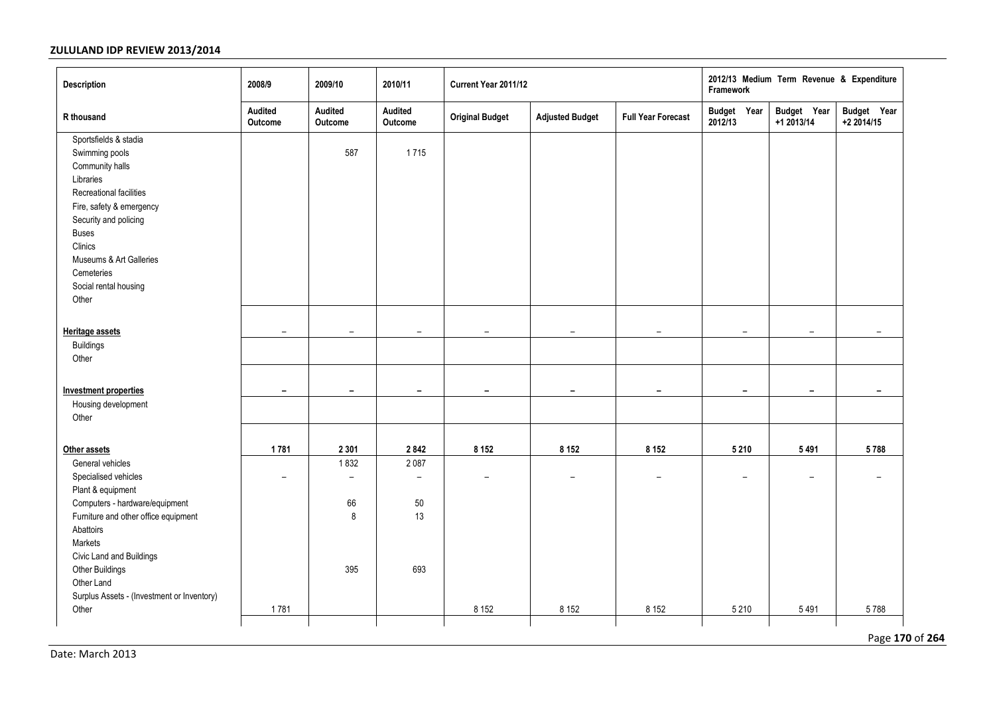| <b>Description</b>                                                                                                                                                                                                                                                         | 2008/9                   | 2009/10                                                  | 2010/11                                                 | Current Year 2011/12     |                          |                           | 2012/13 Medium Term Revenue & Expenditure<br>Framework |                           |                           |
|----------------------------------------------------------------------------------------------------------------------------------------------------------------------------------------------------------------------------------------------------------------------------|--------------------------|----------------------------------------------------------|---------------------------------------------------------|--------------------------|--------------------------|---------------------------|--------------------------------------------------------|---------------------------|---------------------------|
| R thousand                                                                                                                                                                                                                                                                 | Audited<br>Outcome       | Audited<br>Outcome                                       | Audited<br>Outcome                                      | <b>Original Budget</b>   | <b>Adjusted Budget</b>   | <b>Full Year Forecast</b> | Budget Year<br>2012/13                                 | Budget Year<br>+1 2013/14 | Budget Year<br>+2 2014/15 |
| Sportsfields & stadia<br>Swimming pools<br>Community halls<br>Libraries<br>Recreational facilities<br>Fire, safety & emergency<br>Security and policing<br><b>Buses</b><br>Clinics<br>Museums & Art Galleries<br>Cemeteries<br>Social rental housing<br>Other              |                          | 587                                                      | 1715                                                    |                          |                          |                           |                                                        |                           |                           |
| <b>Heritage assets</b>                                                                                                                                                                                                                                                     | $\overline{\phantom{a}}$ | $\overline{\phantom{a}}$                                 | $\overline{\phantom{a}}$                                | $\overline{\phantom{m}}$ | $\overline{\phantom{m}}$ | $\overline{\phantom{0}}$  | $\overline{\phantom{0}}$                               | $\overline{\phantom{a}}$  | $\overline{\phantom{0}}$  |
| <b>Buildings</b><br>Other                                                                                                                                                                                                                                                  |                          |                                                          |                                                         |                          |                          |                           |                                                        |                           |                           |
| <b>Investment properties</b>                                                                                                                                                                                                                                               | $\overline{\phantom{a}}$ | $\overline{\phantom{a}}$                                 | $\overline{\phantom{a}}$                                | -                        | $\overline{\phantom{a}}$ | $\overline{\phantom{a}}$  | $\overline{\phantom{a}}$                               | $\overline{\phantom{a}}$  | $\overline{\phantom{a}}$  |
| Housing development<br>Other                                                                                                                                                                                                                                               |                          |                                                          |                                                         |                          |                          |                           |                                                        |                           |                           |
| Other assets                                                                                                                                                                                                                                                               | 1781                     | 2 3 0 1                                                  | 2842                                                    | 8 1 5 2                  | 8 1 5 2                  | 8 1 5 2                   | 5 2 1 0                                                | 5491                      | 5788                      |
| General vehicles<br>Specialised vehicles<br>Plant & equipment<br>Computers - hardware/equipment<br>Furniture and other office equipment<br>Abattoirs<br>Markets<br>Civic Land and Buildings<br>Other Buildings<br>Other Land<br>Surplus Assets - (Investment or Inventory) | $\overline{\phantom{0}}$ | 1832<br>$\overline{\phantom{0}}$<br>66<br>$\bf 8$<br>395 | 2087<br>$\overline{\phantom{0}}$<br>$50\,$<br>13<br>693 | $\overline{\phantom{0}}$ | $\overline{\phantom{0}}$ | $\overline{\phantom{0}}$  | -                                                      | $\overline{\phantom{0}}$  | $\overline{\phantom{0}}$  |
| Other                                                                                                                                                                                                                                                                      | 1781                     |                                                          |                                                         | 8 1 5 2                  | 8 1 5 2                  | 8 1 5 2                   | 5 2 1 0                                                | 5491                      | 5788                      |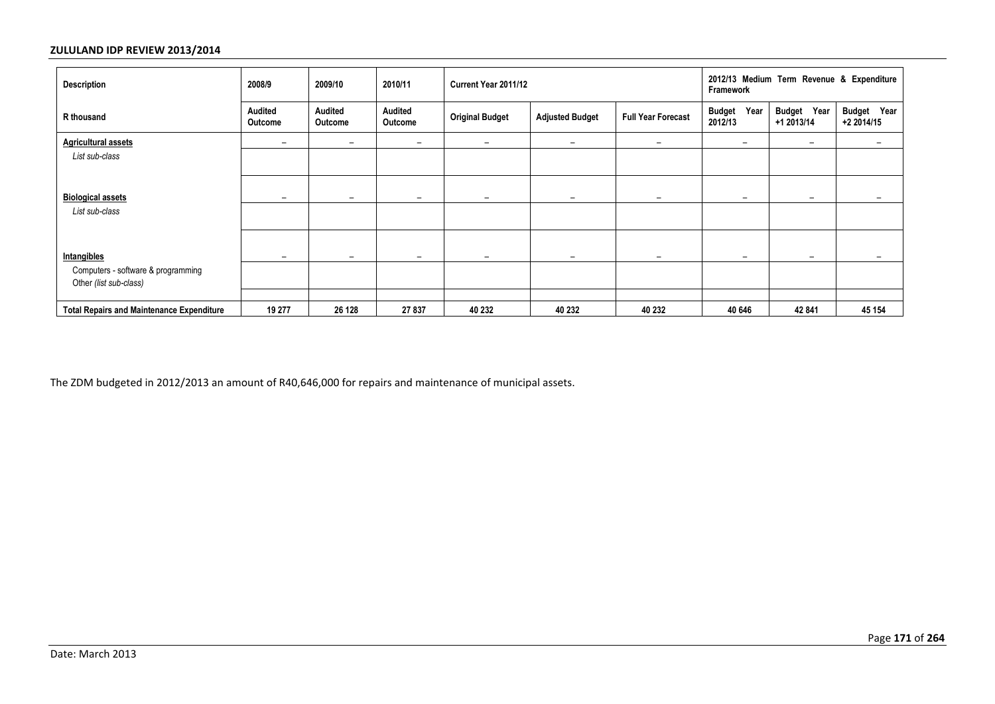| <b>Description</b>                                           | 2008/9                    | 2009/10                   | 2010/11                  | Current Year 2011/12     |                          |                           | 2012/13 Medium Term Revenue & Expenditure<br><b>Framework</b> |                              |                           |  |
|--------------------------------------------------------------|---------------------------|---------------------------|--------------------------|--------------------------|--------------------------|---------------------------|---------------------------------------------------------------|------------------------------|---------------------------|--|
| R thousand                                                   | Audited<br><b>Outcome</b> | <b>Audited</b><br>Outcome | Audited<br>Outcome       | <b>Original Budget</b>   | <b>Adjusted Budget</b>   | <b>Full Year Forecast</b> | Year<br><b>Budget</b><br>2012/13                              | Budget Year<br>+1 2013/14    | Budget Year<br>+2 2014/15 |  |
| <b>Agricultural assets</b>                                   | $\overline{\phantom{m}}$  | $\overline{\phantom{m}}$  | -                        | $\overline{\phantom{0}}$ | $\overline{\phantom{0}}$ | $\overline{\phantom{m}}$  | $\overline{\phantom{m}}$                                      | $\qquad \qquad \blacksquare$ | $\qquad \qquad$           |  |
| List sub-class                                               |                           |                           |                          |                          |                          |                           |                                                               |                              |                           |  |
| <b>Biological assets</b>                                     | $\overline{\phantom{0}}$  | $\qquad \qquad$           | -                        | -                        | $\overline{\phantom{0}}$ | $\overline{\phantom{0}}$  | $\overline{\phantom{m}}$                                      | $\overline{\phantom{0}}$     |                           |  |
| List sub-class                                               |                           |                           |                          |                          |                          |                           |                                                               |                              |                           |  |
| Intangibles                                                  | $\overline{\phantom{0}}$  | $\overline{\phantom{0}}$  | $\overline{\phantom{0}}$ | $\overline{\phantom{0}}$ | $\overline{\phantom{0}}$ | $\overline{\phantom{0}}$  |                                                               | $\overline{\phantom{a}}$     | $\overline{\phantom{0}}$  |  |
| Computers - software & programming<br>Other (list sub-class) |                           |                           |                          |                          |                          |                           |                                                               |                              |                           |  |
| <b>Total Repairs and Maintenance Expenditure</b>             | 19 277                    | 26 128                    | 27 837                   | 40 232                   | 40 232                   | 40 232                    | 40 646                                                        | 42 841                       | 45 154                    |  |

The ZDM budgeted in 2012/2013 an amount of R40,646,000 for repairs and maintenance of municipal assets.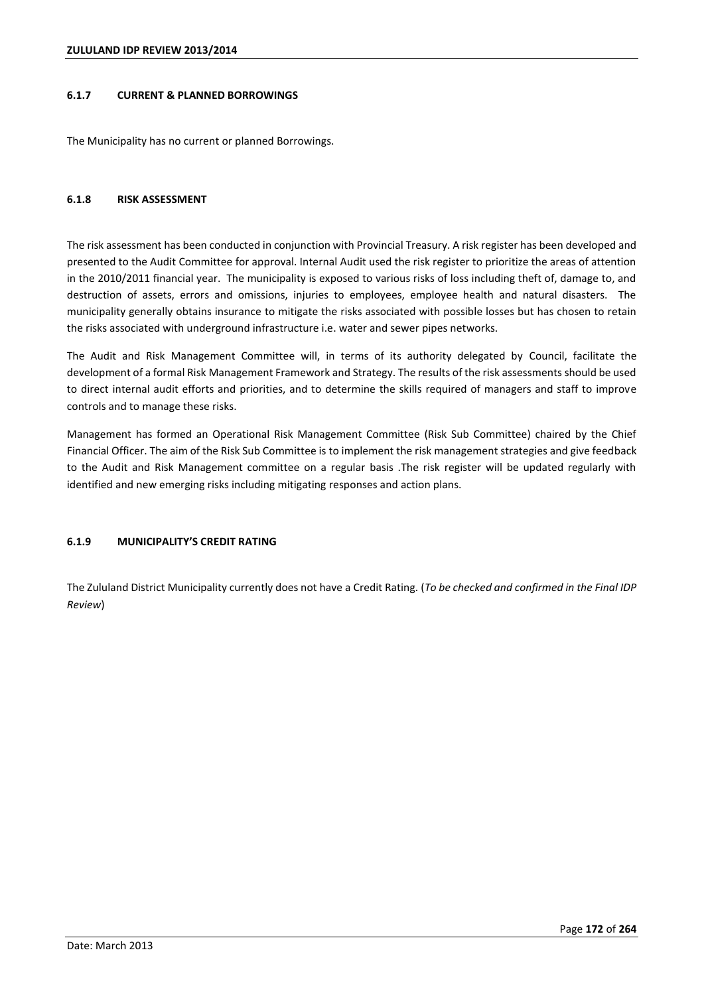# **6.1.7 CURRENT & PLANNED BORROWINGS**

The Municipality has no current or planned Borrowings.

## **6.1.8 RISK ASSESSMENT**

The risk assessment has been conducted in conjunction with Provincial Treasury. A risk register has been developed and presented to the Audit Committee for approval. Internal Audit used the risk register to prioritize the areas of attention in the 2010/2011 financial year. The municipality is exposed to various risks of loss including theft of, damage to, and destruction of assets, errors and omissions, injuries to employees, employee health and natural disasters. The municipality generally obtains insurance to mitigate the risks associated with possible losses but has chosen to retain the risks associated with underground infrastructure i.e. water and sewer pipes networks.

The Audit and Risk Management Committee will, in terms of its authority delegated by Council, facilitate the development of a formal Risk Management Framework and Strategy. The results of the risk assessments should be used to direct internal audit efforts and priorities, and to determine the skills required of managers and staff to improve controls and to manage these risks.

Management has formed an Operational Risk Management Committee (Risk Sub Committee) chaired by the Chief Financial Officer. The aim of the Risk Sub Committee is to implement the risk management strategies and give feedback to the Audit and Risk Management committee on a regular basis .The risk register will be updated regularly with identified and new emerging risks including mitigating responses and action plans.

## **6.1.9 MUNICIPALITY'S CREDIT RATING**

The Zululand District Municipality currently does not have a Credit Rating. (*To be checked and confirmed in the Final IDP Review*)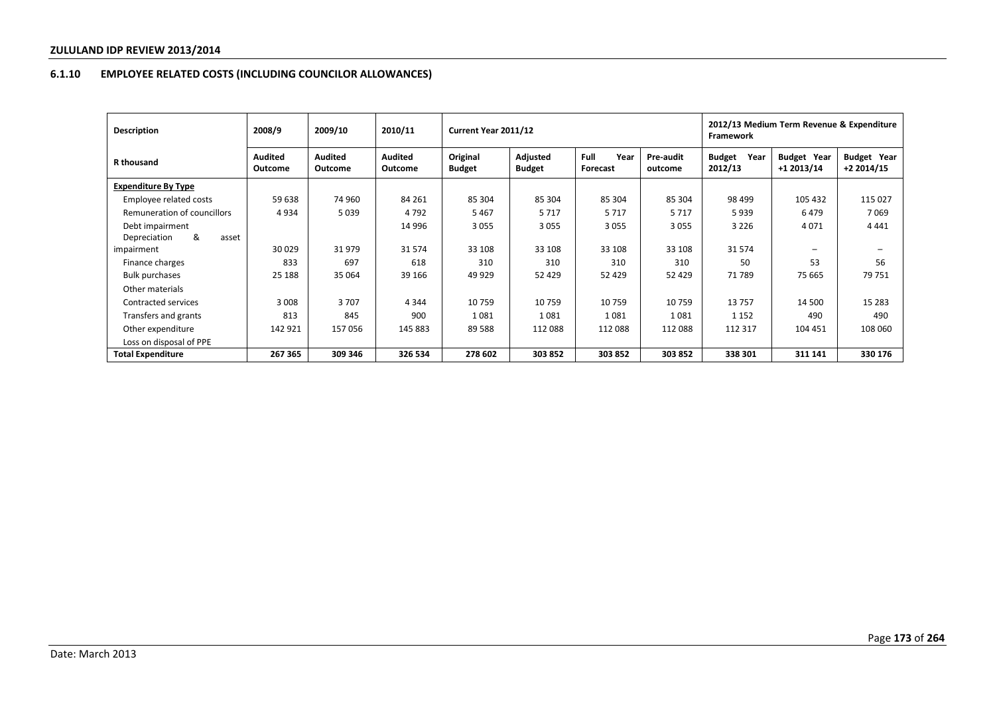# **6.1.10 EMPLOYEE RELATED COSTS (INCLUDING COUNCILOR ALLOWANCES)**

| <b>Description</b>          | 2008/9                    | 2009/10                   | 2010/11                   | Current Year 2011/12      |                           |                          |                      | 2012/13 Medium Term Revenue & Expenditure<br>Framework |                                  |                                   |
|-----------------------------|---------------------------|---------------------------|---------------------------|---------------------------|---------------------------|--------------------------|----------------------|--------------------------------------------------------|----------------------------------|-----------------------------------|
| R thousand                  | <b>Audited</b><br>Outcome | <b>Audited</b><br>Outcome | <b>Audited</b><br>Outcome | Original<br><b>Budget</b> | Adjusted<br><b>Budget</b> | Full<br>Year<br>Forecast | Pre-audit<br>outcome | <b>Budget</b><br>Year<br>2012/13                       | <b>Budget Year</b><br>+1 2013/14 | <b>Budget Year</b><br>$+22014/15$ |
| <b>Expenditure By Type</b>  |                           |                           |                           |                           |                           |                          |                      |                                                        |                                  |                                   |
| Employee related costs      | 59 638                    | 74 960                    | 84 261                    | 85 304                    | 85 304                    | 85 304                   | 85 304               | 98 499                                                 | 105 432                          | 115 027                           |
| Remuneration of councillors | 4934                      | 5 0 3 9                   | 4 7 9 2                   | 5467                      | 5 7 1 7                   | 5717                     | 5717                 | 5939                                                   | 6479                             | 7069                              |
| Debt impairment             |                           |                           | 14 996                    | 3 0 5 5                   | 3 0 5 5                   | 3055                     | 3055                 | 3 2 2 6                                                | 4 0 7 1                          | 4 4 4 1                           |
| &<br>Depreciation<br>asset  |                           |                           |                           |                           |                           |                          |                      |                                                        |                                  |                                   |
| impairment                  | 30 0 29                   | 31979                     | 31574                     | 33 108                    | 33 108                    | 33 108                   | 33 108               | 31 574                                                 | -                                | $\overline{\phantom{0}}$          |
| Finance charges             | 833                       | 697                       | 618                       | 310                       | 310                       | 310                      | 310                  | 50                                                     | 53                               | 56                                |
| <b>Bulk purchases</b>       | 25 188                    | 35 064                    | 39 166                    | 49 9 29                   | 52 4 29                   | 52 4 29                  | 52 4 29              | 71 789                                                 | 75 665                           | 79 751                            |
| Other materials             |                           |                           |                           |                           |                           |                          |                      |                                                        |                                  |                                   |
| Contracted services         | 3 0 0 8                   | 3707                      | 4 3 4 4                   | 10 759                    | 10759                     | 10759                    | 10759                | 13757                                                  | 14 500                           | 15 2 8 3                          |
| Transfers and grants        | 813                       | 845                       | 900                       | 1081                      | 1081                      | 1081                     | 1081                 | 1 1 5 2                                                | 490                              | 490                               |
| Other expenditure           | 142 921                   | 157056                    | 145 883                   | 89 5 88                   | 112 088                   | 112 088                  | 112 088              | 112 317                                                | 104 451                          | 108 060                           |
| Loss on disposal of PPE     |                           |                           |                           |                           |                           |                          |                      |                                                        |                                  |                                   |
| Total Expenditure           | 267 365                   | 309 346                   | 326 534                   | 278 602                   | 303 852                   | 303 852                  | 303 852              | 338 301                                                | 311 141                          | 330 176                           |